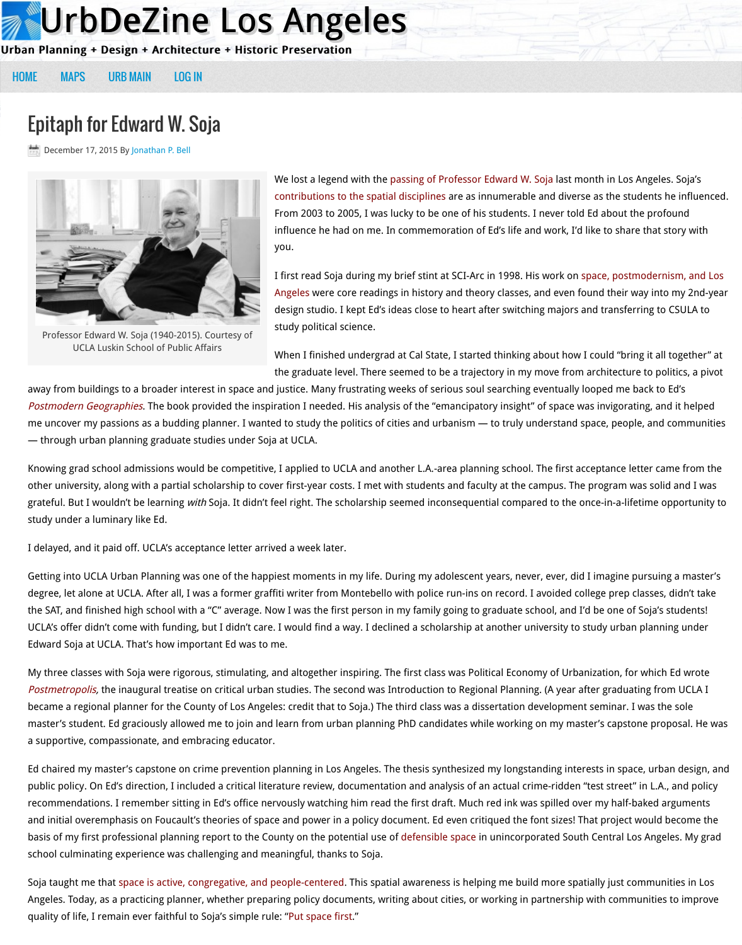When I finished undergrad at Cal State, I sta the graduate level. There seemed to be a trajectory

away from buildings to a broader interest in space and justice. Many frustrating weeks of serious so [Post](http://losangeles.urbdezine.com/)[modern Ge](http://losangeles.urbdezine.com/maps/)ographies. Th[e book provi](http://losangeles.urbdezine.com/wp-login.php)ded the inspiration I needed. His analysis of the "emancip me uncover m[y passions as a b](http://urbdezine.com/)udding planner. I wanted to study the politics of cities and urbanisn — through urban planning graduate studies under Soja at UCLA.

Knowing grad school admissions would be competitive, I applied to UCLA and another L.A.-area pla other university, along [with a partial](http://losangeles.urbdezine.com/author/jpbell/) scholarship to cover first-year costs. I met with students and faculty grateful. But I wouldn't be learning with Soja. It didn't feel right. The scholarship [seemed inconsequential compared to](http://luskin.ucla.edu/news/school-public-affairs/memoriam-edward-soja-1940-2015-distinguished-professor-emeritus-urban-pla) the oncestudy under a luminary like Ed.

I delayed, and it paid off. UCLA's acceptance letter arrived a week later.

Getting into UCLA Urban Planning was one of the happiest moments in my life. During my adolesce degree, let alone at UCLA. After all, I was a former graffiti writer from Montebello with police run-ir the SAT, and finished high school with a "C" average. Now I was the first person in my family going  $\epsilon$ UCLA's offer didn't come with funding, but I didn't care. I would find a way. I declined a scholarship Edward Soja at UCLA. That's how important Ed was to me.

My three classes with Soja were rigorous, stimulating, and altogether inspiring. The first class was F Postmetropolis, the inaugural treatise on critical urban studies. The second was Introduction to Regional Planning became a regional planner for the County of Los Angeles: credit that to Soja.) The third class was a master's student. Ed graciously allowed me to join and learn from urban planning PhD candidates while working o [a supportive, compassion](http://www.versobooks.com/blogs/2326-space-and-power-celebrating-the-life-of-edward-soja-1940-2015)ate, and embracing educator.

Ed chaired my master's capstone on crime prevention planning in Los Angeles. The thesis synthesize public policy. On Ed's direction, I included a critical literature review, documentation and analysis o recommendations. I remember sitting in Ed's office nervously watching him read the first draft. Mu and initial overemphasis on Foucault's theories of space and power in a policy document. Ed even of basis of my first professional planning report to the County on the potential use of defensible space school culminating experience was challenging and meaningful, thanks to Soja.

Soja taught me that space is active, congregative, and people-centered. This spatial awareness is he Angeles. Today, as a practicing planner, whether preparing policy documents, writing about cities, or quality of life, I remain ever faithful to Soja's simple rule: "Put space first."